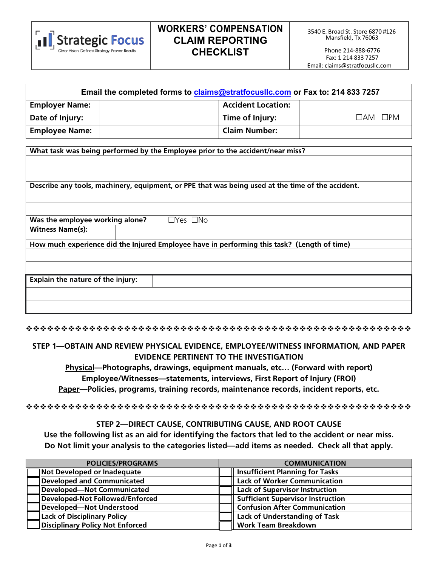

# **WORKERS' COMPENSATION CLAIM REPORTING CHECKLIST**

| Email the completed forms to claims@stratfocusIIc.com or Fax to: 214 833 7257 |  |                           |                        |
|-------------------------------------------------------------------------------|--|---------------------------|------------------------|
| <b>Employer Name:</b>                                                         |  | <b>Accident Location:</b> |                        |
| Date of Injury:                                                               |  | Time of Injury:           | $\Box$ PM<br>$\Box$ am |
| <b>Employee Name:</b>                                                         |  | <b>Claim Number:</b>      |                        |

**What task was being performed by the Employee prior to the accident/near miss?**

**Describe any tools, machinery, equipment, or PPE that was being used at the time of the accident.**

| Was the employee working alone?<br>$\Box$ Yes $\Box$ No                                     |  |  |  |  |
|---------------------------------------------------------------------------------------------|--|--|--|--|
| <b>Witness Name(s):</b>                                                                     |  |  |  |  |
| How much experience did the Injured Employee have in performing this task? (Length of time) |  |  |  |  |
|                                                                                             |  |  |  |  |
|                                                                                             |  |  |  |  |
| Explain the nature of the injury:                                                           |  |  |  |  |
|                                                                                             |  |  |  |  |
|                                                                                             |  |  |  |  |

#### **STEP 1—OBTAIN AND REVIEW PHYSICAL EVIDENCE, EMPLOYEE/WITNESS INFORMATION, AND PAPER EVIDENCE PERTINENT TO THE INVESTIGATION**

**Physical—Photographs, drawings, equipment manuals, etc… (Forward with report) Employee/Witnesses—statements, interviews, First Report of Injury (FROI) Paper—Policies, programs, training records, maintenance records, incident reports, etc.**

#### **STEP 2—DIRECT CAUSE, CONTRIBUTING CAUSE, AND ROOT CAUSE**

**Use the following list as an aid for identifying the factors that led to the accident or near miss. Do Not limit your analysis to the categories listed—add items as needed. Check all that apply.**

| <b>POLICIES/PROGRAMS</b>           | <b>COMMUNICATION</b>                     |  |  |
|------------------------------------|------------------------------------------|--|--|
| Not Developed or Inadequate        | <b>Insufficient Planning for Tasks</b>   |  |  |
| <b>Developed and Communicated</b>  | <b>Lack of Worker Communication</b>      |  |  |
| Developed-Not Communicated         | <b>Lack of Supervisor Instruction</b>    |  |  |
| Developed-Not Followed/Enforced    | <b>Sufficient Supervisor Instruction</b> |  |  |
| Developed-Not Understood           | <b>Confusion After Communication</b>     |  |  |
| <b>Lack of Disciplinary Policy</b> | <b>Lack of Understanding of Task</b>     |  |  |
| Disciplinary Policy Not Enforced   | <b>Work Team Breakdown</b>               |  |  |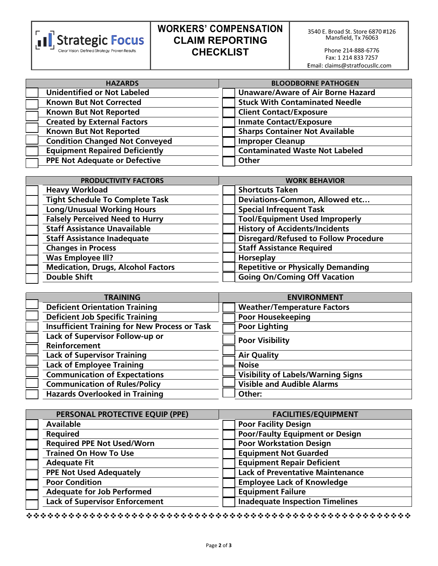

# **WORKERS' COMPENSATION CLAIM REPORTING CHECKLIST**

Phone 214-888-6776 Fax: 1 214 833 7257 :Ema[il: claims@stratfocusllc.co](mailto:wc@engagepeo.com)m

| <b>HAZARDS</b>                        | <b>BLOODBORNE PATHOGEN</b>               |  |
|---------------------------------------|------------------------------------------|--|
| <b>Unidentified or Not Labeled</b>    | <b>Unaware/Aware of Air Borne Hazard</b> |  |
| <b>Known But Not Corrected</b>        | <b>Stuck With Contaminated Needle</b>    |  |
| <b>Known But Not Reported</b>         | <b>Client Contact/Exposure</b>           |  |
| <b>Created by External Factors</b>    | <b>Inmate Contact/Exposure</b>           |  |
| <b>Known But Not Reported</b>         | <b>Sharps Container Not Available</b>    |  |
| <b>Condition Changed Not Conveyed</b> | <b>Improper Cleanup</b>                  |  |
| <b>Equipment Repaired Deficiently</b> | <b>Contaminated Waste Not Labeled</b>    |  |
| <b>PPE Not Adequate or Defective</b>  | Other                                    |  |

| PRODUCTIVITY FACTORS                      | <b>WORK BEHAVIOR</b>                         |  |
|-------------------------------------------|----------------------------------------------|--|
| <b>Heavy Workload</b>                     | <b>Shortcuts Taken</b>                       |  |
| <b>Tight Schedule To Complete Task</b>    | Deviations-Common, Allowed etc               |  |
| <b>Long/Unusual Working Hours</b>         | <b>Special Infrequent Task</b>               |  |
| <b>Falsely Perceived Need to Hurry</b>    | <b>Tool/Equipment Used Improperly</b>        |  |
| <b>Staff Assistance Unavailable</b>       | <b>History of Accidents/Incidents</b>        |  |
| <b>Staff Assistance Inadequate</b>        | <b>Disregard/Refused to Follow Procedure</b> |  |
| <b>Changes in Process</b>                 | <b>Staff Assistance Required</b>             |  |
| <b>Was Employee III?</b>                  | Horseplay                                    |  |
| <b>Medication, Drugs, Alcohol Factors</b> | <b>Repetitive or Physically Demanding</b>    |  |
| <b>Double Shift</b>                       | <b>Going On/Coming Off Vacation</b>          |  |

| <b>TRAINING</b>                                      | <b>ENVIRONMENT</b>                        |  |
|------------------------------------------------------|-------------------------------------------|--|
| <b>Deficient Orientation Training</b>                | <b>Weather/Temperature Factors</b>        |  |
| <b>Deficient Job Specific Training</b>               | <b>Poor Housekeeping</b>                  |  |
| <b>Insufficient Training for New Process or Task</b> | <b>Poor Lighting</b>                      |  |
| Lack of Supervisor Follow-up or                      | <b>Poor Visibility</b>                    |  |
| Reinforcement                                        |                                           |  |
| <b>Lack of Supervisor Training</b>                   | <b>Air Quality</b>                        |  |
| <b>Lack of Employee Training</b>                     | <b>Noise</b>                              |  |
| <b>Communication of Expectations</b>                 | <b>Visibility of Labels/Warning Signs</b> |  |
| <b>Communication of Rules/Policy</b>                 | <b>Visible and Audible Alarms</b>         |  |
| <b>Hazards Overlooked in Training</b>                | Other:                                    |  |

| PERSONAL PROTECTIVE EQUIP (PPE)       | <b>FACILITIES/EQUIPMENT</b>             |  |
|---------------------------------------|-----------------------------------------|--|
| <b>Available</b>                      | <b>Poor Facility Design</b>             |  |
| <b>Required</b>                       | <b>Poor/Faulty Equipment or Design</b>  |  |
| <b>Required PPE Not Used/Worn</b>     | <b>Poor Workstation Design</b>          |  |
| <b>Trained On How To Use</b>          | <b>Equipment Not Guarded</b>            |  |
| <b>Adequate Fit</b>                   | <b>Equipment Repair Deficient</b>       |  |
| <b>PPE Not Used Adequately</b>        | <b>Lack of Preventative Maintenance</b> |  |
| <b>Poor Condition</b>                 | <b>Employee Lack of Knowledge</b>       |  |
| <b>Adequate for Job Performed</b>     | <b>Equipment Failure</b>                |  |
| <b>Lack of Supervisor Enforcement</b> | <b>Inadequate Inspection Timelines</b>  |  |